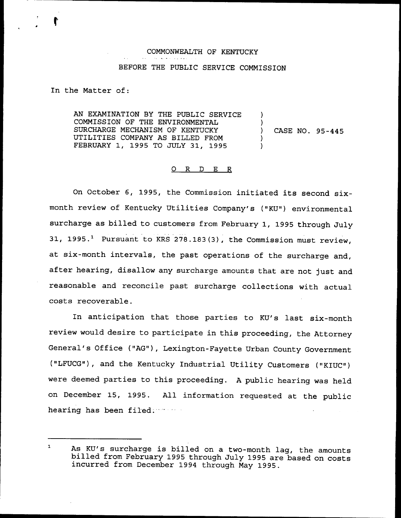## COMMONWEALTH QF KENTUCKY BEFORE THE PUBLIC SERVICE COMMISSION

In the Matter of:

AN EXAMINATION BY THE PUBLIC SERVICE COMMISSION OF THE ENVIRONMENTAL SURCHARGE MECHANISM OF KENTUCKY UTILITIES COMPANY AS BILLED FROM FEBRUARY 1, 1995 TO JULY 31, 1995 ) ) ) CASE NO. 95-445 ) )

#### 0 R <sup>D</sup> E R

On October 6, 1995, the Commission initiated its second sixmonth review of Kentucky Utilities Company's ("KU") environmental surcharge as billed to customers from February 1, 1995 through July 31, 1995.<sup>1</sup> Pursuant to KRS 278.183(3), the Commission must review, at six-month intervals, the past operations of the surcharge and, after hearing, disallow any surcharge amounts that are not just and reasonable and reconcile past surcharge collections with actual costs recoverable.

In anticipation that those parties to KU's last six-month review would desire to participate in this proceeding, the Attorney General's Office ("AG"), Lexington-Fayette Urban County Government ("LFUCG"), and the Kentucky Industrial Utility Customers ("KIUC") were deemed parties to this proceeding. <sup>A</sup> public hearing was held on December 15, 1995. All information requested at the public hearing has been filed.

 $\mathbf{1}$ As KU's surcharge is billed on <sup>a</sup> two-month lag, the amounts billed from February <sup>1995</sup> through July <sup>1995</sup> are based on costs incurred from December <sup>1994</sup> through May 1995.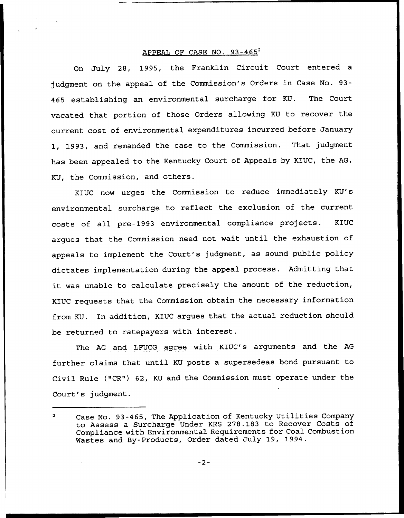#### APPEAL OF CASE NO. 93-465<sup>2</sup>

On July 28, 1995, the Franklin Circuit Court entered a judgment on the appeal of the Commission's Orders in Case No. 93- 465 establishing an environmental surcharge for KU. The Court vacated that portion of those Orders allowing KU to recover the current cost of environmental expenditures incurred before January 1, 1993, and remanded the case to the Commission. That judgment has been appealed to the Kentucky Court of Appeals by KIUC, the AG, KU, the Commission, and others.

KIUC now urges the Commission to reduce immediately KU's environmental surcharge to reflect the exclusion of the current costs of all pre-1993 environmental compliance projects. KIUC argues that the Commission need not wait until the exhaustion of appeals to implement the Court's judgment, as sound public policy dictates implementation during the appeal process. Admitting that it was unable to calculate precisely the amount of the reduction, KIUC requests that the Commission obtain the necessary information from KU. In addition, KIUC argues that the actual reduction should be returned to ratepayers with interest.

The AG and LFUCG agree with KIUC's arguments and the AG further claims that until KU posts a supersedeas bond pursuant to Civil Rule {"CR") 62, KU and the Commission must operate under the Court's judgment.

 $-2-$ 

Case No. 93-465, The Application of Kentucky Utilities Company to Assess a Surcharge Under KRS 278.183 to Recover Costs of Compliance with Environmental Requirements for Coal Combustion Wastes and By-Products, Order dated July 19, 1994.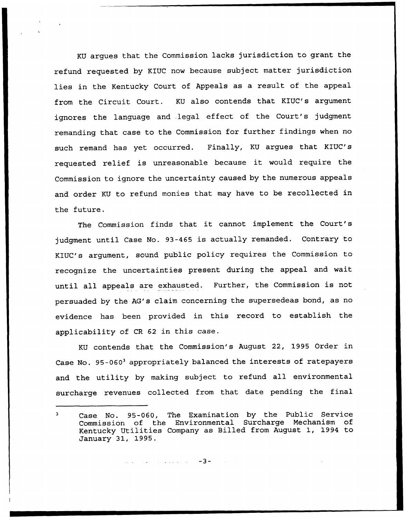KU argues that the Commission lacks jurisdiction to grant the refund requested by KIUC now because subject matter jurisdiction lies in the Kentucky Court of Appeals as a result of the appeal from the Circuit Court. KU also contends that KIUC's argument ignores the language and .legal effect of the Court's judgment remanding that case to the Commission for further findings when no such remand has yet occurred. Finally, KU argues that KIUC's requested relief is unreasonable because it would require the Commission to ignore the uncertainty caused by the numerous appeals and order KU to refund monies that may have to be recollected in the future.

The Commission finds that it cannot implement the Court's judgment until Case No. 93-465 is actually remanded. Contrary to KIUC's argument, sound public policy requires the Commission to recognize the uncertainties present during the appeal and wait until all appeals are exhausted. Further, the Commission is not persuaded by the AG's claim concerning the supersedeas bond, as no evidence has been provided in this record to establish the applicability of CR <sup>62</sup> in this case.

KU contends that the Commission's August 22, 1995 Order in Case No. 95-060<sup>3</sup> appropriately balanced the interests of ratepayers and the utility by making subject to refund all environmental surcharge revenues collected from that date pending the final

 $\sim$  . . . . . . .  $-3-$ 

 $\mathbf{a}$ Case No. 95-060, The Examination by the Public Service<br>Commission of the Environmental Surcharge Mechanism of Environmental Surcharge Mechanism of Kentucky Utilities Company as Billed from August 1, 1994 to January 31, 1995.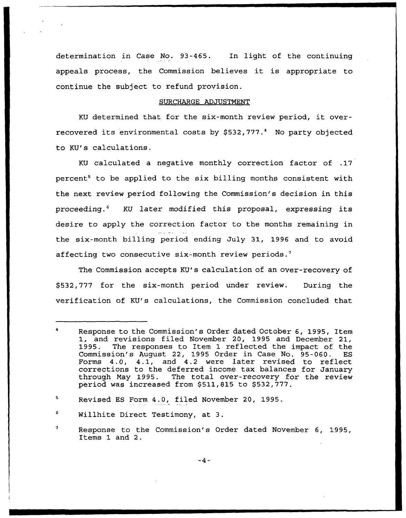determination in Case No. 93-465. In light of the continuing appeals process, the Commission believes it is appropriate to continue the subject to refund provision.

### SURCHARGE ADJUSTMENT

KU determined that for the six-month review period, it overrecovered its environmental costs by  $$532,777.^4$  No party objected to KU's calculations.

KU calculated a negative monthly correction factor of .17 percent<sup>5</sup> to be applied to the six billing months consistent with the next review period following the Commission's decision in this proceeding.<sup>6</sup> KU later modified this proposal, expressing its desire to apply the correction factor to the months remaining in the six-month billing period ending July 31, 1996 and to avoid affecting two consecutive six-month review periods.<sup>7</sup>

The Commission accepts KU's calculation of an over-recovery of \$532,777 for the six-month period under review. During the verification of KU's calculations, the Commission concluded that

Response to the Commission's Order dated October 6, 1995, Item 1, and revisions filed November 20, 1995 and December 21,<br>1995. The responses to Item 1 reflected the impact of the The responses to Item 1 reflected the impact of the ion's August 22, 1995 Order in Case No. 95-060. ES Commission's August 22, 1995 Order in Case No. 95-060. Forms 4.0, 4.1, and 4.2 were later revised to reflect corrections to the deferred income tax balances for January through May 1995. The total over-recovery for the review period was increased from  $$511,815$  to  $$532,777$ .

<sup>5</sup> Revised ES Form 4.0, filed November 20, 1995.

Willhite Direct Testimony, at 3.

 $\pmb{7}$ Response to the Commission's Order dated November 6, 1995, Items 1 and 2.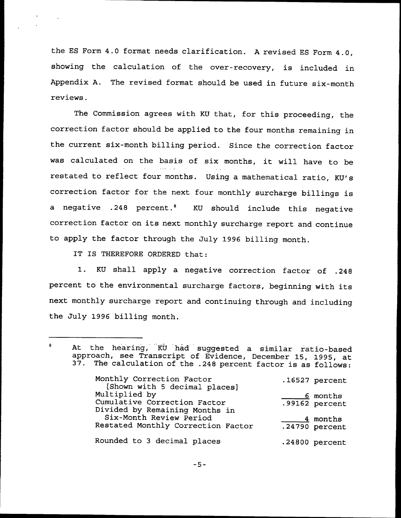the ES Form 4.0 format needs clarification. <sup>A</sup> revised ES Form 4.0, showing the calculation of the over-recovery, is included in Appendix A. The revised format should be used in future six-month reviews.

The Commission agrees with KU that, for this proceeding, the correction factor should be applied to the four months remaining in the current six-month billing period. Since the correction factor was calculated on the basis of six months, it will have to be restated to reflect four months. Using <sup>a</sup> mathematical ratio, KU's correction factor for the next four monthly surcharge billings is a negative .248 percent.<sup>8</sup> KU should include this negative correction factor on its next monthly surcharge report and continue to apply the factor through the July 1996 billing month.

IT IS THEREFORE ORDERED that:

 $\sim 10$ 

1. KU shall apply <sup>a</sup> negative correction factor of .248 percent to the environmental surcharge factors, beginning with its next monthly surcharge report and continuing through and including the July 1996 billing month.

At the hearing, KU had suggested a similar ratio-based<br>approach, see Transcript of Evidence, December 15, 1995, at  $\mathbf{a}$ 37. The calculation of the .248 percent factor is as follows: Monthly Correction Factor .16527 percent [Shown with 5 decimal places] Multiplied by <u>6</u> months Cumulative Correction Factor .99162 percent Divided by Remaining Months in Six-Month Review Period 4 months

Restated Monthly Correction Factor .24790 percent Rounded to 3 decimal places .24800 percent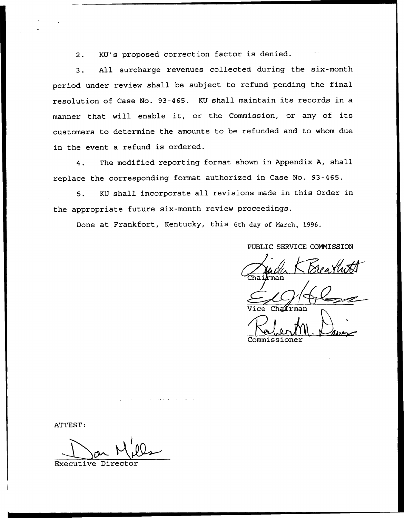2. KU's proposed correction factor is denied.

3. All surcharge revenues collected during the six-month period under review shall be subject to refund pending the final resolution of Case No. 93-465. KU shall maintain its records in <sup>a</sup> manner that will enable it, or the Commission, or any of its customers to determine the amounts to be refunded and to whom due in the event a refund is ordered.

4. The modified reporting format shown in Appendix A, shall replace the corresponding format authorized in Case No. 93-465.

5. KU shall incorporate all revisions made in this Order in the appropriate future six-month review proceedings.

Done at Frankfort, Kentucky, this 6th day of March, 1996.

PUBLIC SERVICE COMMISSION

 $The **ikman**$ Vice Chairm

Commissione

ATTEST

Executive